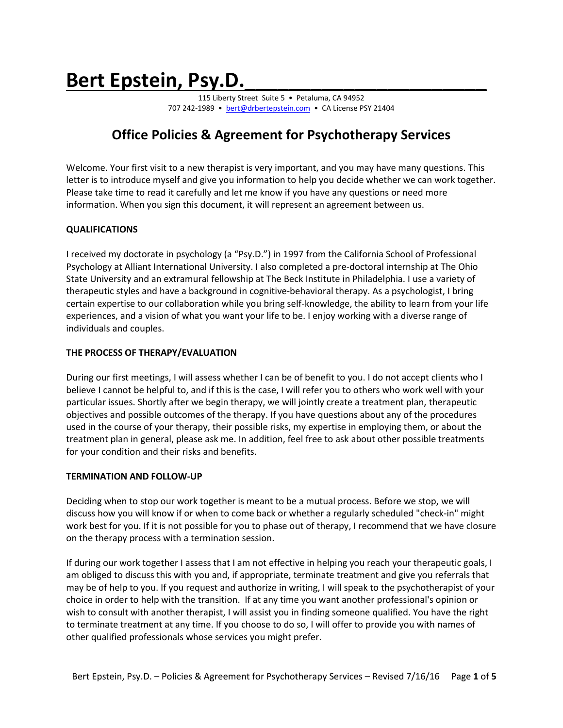# Bert Epstein, Psy.D.

115 Liberty Street Suite 5 · Petaluma, CA 94952 707 242-1989 • [bert@drbertepstein.com](mailto:bert@drbertepstein.com) • CA License PSY 21404

# **Office Policies & Agreement for Psychotherapy Services**

Welcome. Your first visit to a new therapist is very important, and you may have many questions. This letter is to introduce myself and give you information to help you decide whether we can work together. Please take time to read it carefully and let me know if you have any questions or need more information. When you sign this document, it will represent an agreement between us.

# **QUALIFICATIONS**

I received my doctorate in psychology (a "Psy.D.") in 1997 from the California School of Professional Psychology at Alliant International University. I also completed a pre-doctoral internship at The Ohio State University and an extramural fellowship at The Beck Institute in Philadelphia. I use a variety of therapeutic styles and have a background in cognitive-behavioral therapy. As a psychologist, I bring certain expertise to our collaboration while you bring self-knowledge, the ability to learn from your life experiences, and a vision of what you want your life to be. I enjoy working with a diverse range of individuals and couples.

# **THE PROCESS OF THERAPY/EVALUATION**

During our first meetings, I will assess whether I can be of benefit to you. I do not accept clients who I believe I cannot be helpful to, and if this is the case, I will refer you to others who work well with your particular issues. Shortly after we begin therapy, we will jointly create a treatment plan, therapeutic objectives and possible outcomes of the therapy. If you have questions about any of the procedures used in the course of your therapy, their possible risks, my expertise in employing them, or about the treatment plan in general, please ask me. In addition, feel free to ask about other possible treatments for your condition and their risks and benefits.

# **TERMINATION AND FOLLOW-UP**

Deciding when to stop our work together is meant to be a mutual process. Before we stop, we will discuss how you will know if or when to come back or whether a regularly scheduled "check-in" might work best for you. If it is not possible for you to phase out of therapy, I recommend that we have closure on the therapy process with a termination session.

If during our work together I assess that I am not effective in helping you reach your therapeutic goals, I am obliged to discuss this with you and, if appropriate, terminate treatment and give you referrals that may be of help to you. If you request and authorize in writing, I will speak to the psychotherapist of your choice in order to help with the transition. If at any time you want another professional's opinion or wish to consult with another therapist, I will assist you in finding someone qualified. You have the right to terminate treatment at any time. If you choose to do so, I will offer to provide you with names of other qualified professionals whose services you might prefer.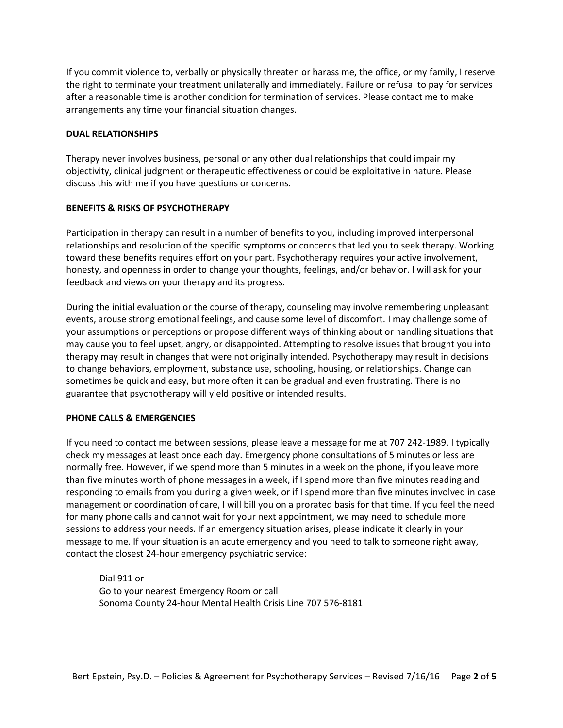If you commit violence to, verbally or physically threaten or harass me, the office, or my family, I reserve the right to terminate your treatment unilaterally and immediately. Failure or refusal to pay for services after a reasonable time is another condition for termination of services. Please contact me to make arrangements any time your financial situation changes.

# **DUAL RELATIONSHIPS**

Therapy never involves business, personal or any other dual relationships that could impair my objectivity, clinical judgment or therapeutic effectiveness or could be exploitative in nature. Please discuss this with me if you have questions or concerns.

# **BENEFITS & RISKS OF PSYCHOTHERAPY**

Participation in therapy can result in a number of benefits to you, including improved interpersonal relationships and resolution of the specific symptoms or concerns that led you to seek therapy. Working toward these benefits requires effort on your part. Psychotherapy requires your active involvement, honesty, and openness in order to change your thoughts, feelings, and/or behavior. I will ask for your feedback and views on your therapy and its progress.

During the initial evaluation or the course of therapy, counseling may involve remembering unpleasant events, arouse strong emotional feelings, and cause some level of discomfort. I may challenge some of your assumptions or perceptions or propose different ways of thinking about or handling situations that may cause you to feel upset, angry, or disappointed. Attempting to resolve issues that brought you into therapy may result in changes that were not originally intended. Psychotherapy may result in decisions to change behaviors, employment, substance use, schooling, housing, or relationships. Change can sometimes be quick and easy, but more often it can be gradual and even frustrating. There is no guarantee that psychotherapy will yield positive or intended results.

#### **PHONE CALLS & EMERGENCIES**

If you need to contact me between sessions, please leave a message for me at 707 242-1989. I typically check my messages at least once each day. Emergency phone consultations of 5 minutes or less are normally free. However, if we spend more than 5 minutes in a week on the phone, if you leave more than five minutes worth of phone messages in a week, if I spend more than five minutes reading and responding to emails from you during a given week, or if I spend more than five minutes involved in case management or coordination of care, I will bill you on a prorated basis for that time. If you feel the need for many phone calls and cannot wait for your next appointment, we may need to schedule more sessions to address your needs. If an emergency situation arises, please indicate it clearly in your message to me. If your situation is an acute emergency and you need to talk to someone right away, contact the closest 24-hour emergency psychiatric service:

Dial 911 or Go to your nearest Emergency Room or call Sonoma County 24-hour Mental Health Crisis Line 707 576-8181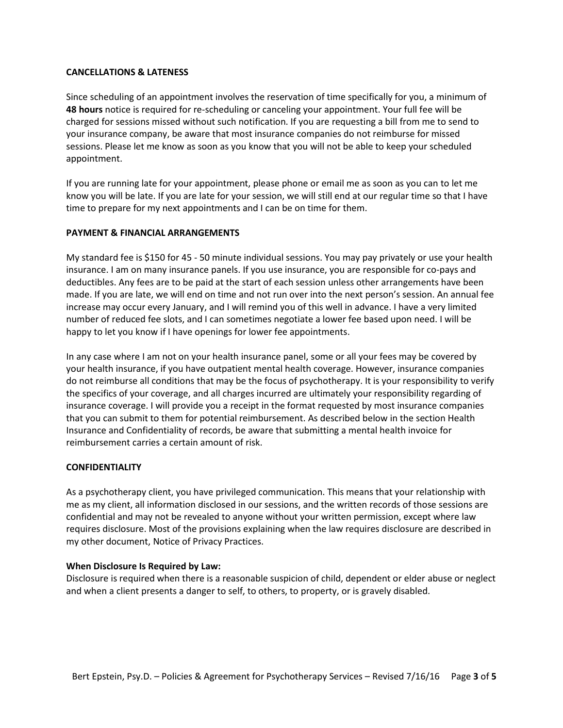# **CANCELLATIONS & LATENESS**

Since scheduling of an appointment involves the reservation of time specifically for you, a minimum of **48 hours** notice is required for re-scheduling or canceling your appointment. Your full fee will be charged for sessions missed without such notification. If you are requesting a bill from me to send to your insurance company, be aware that most insurance companies do not reimburse for missed sessions. Please let me know as soon as you know that you will not be able to keep your scheduled appointment.

If you are running late for your appointment, please phone or email me as soon as you can to let me know you will be late. If you are late for your session, we will still end at our regular time so that I have time to prepare for my next appointments and I can be on time for them.

#### **PAYMENT & FINANCIAL ARRANGEMENTS**

My standard fee is \$150 for 45 - 50 minute individual sessions. You may pay privately or use your health insurance. I am on many insurance panels. If you use insurance, you are responsible for co-pays and deductibles. Any fees are to be paid at the start of each session unless other arrangements have been made. If you are late, we will end on time and not run over into the next person's session. An annual fee increase may occur every January, and I will remind you of this well in advance. I have a very limited number of reduced fee slots, and I can sometimes negotiate a lower fee based upon need. I will be happy to let you know if I have openings for lower fee appointments.

In any case where I am not on your health insurance panel, some or all your fees may be covered by your health insurance, if you have outpatient mental health coverage. However, insurance companies do not reimburse all conditions that may be the focus of psychotherapy. It is your responsibility to verify the specifics of your coverage, and all charges incurred are ultimately your responsibility regarding of insurance coverage. I will provide you a receipt in the format requested by most insurance companies that you can submit to them for potential reimbursement. As described below in the section Health Insurance and Confidentiality of records, be aware that submitting a mental health invoice for reimbursement carries a certain amount of risk.

#### **CONFIDENTIALITY**

As a psychotherapy client, you have privileged communication. This means that your relationship with me as my client, all information disclosed in our sessions, and the written records of those sessions are confidential and may not be revealed to anyone without your written permission, except where law requires disclosure. Most of the provisions explaining when the law requires disclosure are described in my other document, Notice of Privacy Practices.

#### **When Disclosure Is Required by Law:**

Disclosure is required when there is a reasonable suspicion of child, dependent or elder abuse or neglect and when a client presents a danger to self, to others, to property, or is gravely disabled.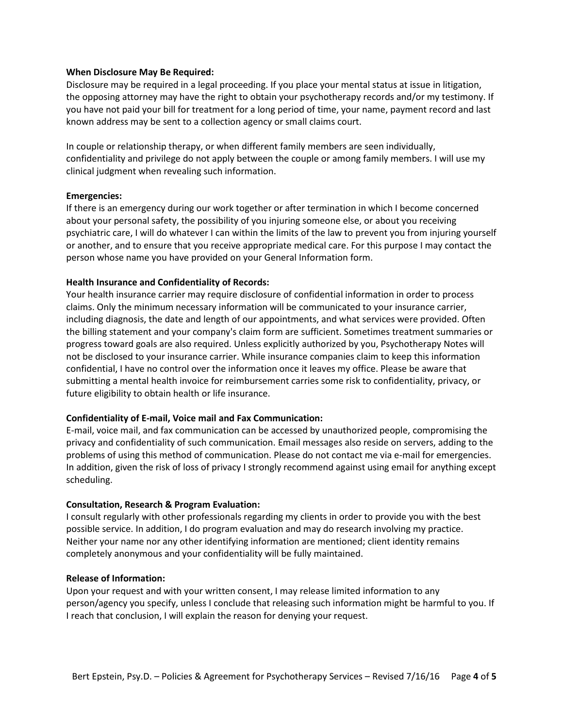#### **When Disclosure May Be Required:**

Disclosure may be required in a legal proceeding. If you place your mental status at issue in litigation, the opposing attorney may have the right to obtain your psychotherapy records and/or my testimony. If you have not paid your bill for treatment for a long period of time, your name, payment record and last known address may be sent to a collection agency or small claims court.

In couple or relationship therapy, or when different family members are seen individually, confidentiality and privilege do not apply between the couple or among family members. I will use my clinical judgment when revealing such information.

#### **Emergencies:**

If there is an emergency during our work together or after termination in which I become concerned about your personal safety, the possibility of you injuring someone else, or about you receiving psychiatric care, I will do whatever I can within the limits of the law to prevent you from injuring yourself or another, and to ensure that you receive appropriate medical care. For this purpose I may contact the person whose name you have provided on your General Information form.

# **Health Insurance and Confidentiality of Records:**

Your health insurance carrier may require disclosure of confidential information in order to process claims. Only the minimum necessary information will be communicated to your insurance carrier, including diagnosis, the date and length of our appointments, and what services were provided. Often the billing statement and your company's claim form are sufficient. Sometimes treatment summaries or progress toward goals are also required. Unless explicitly authorized by you, Psychotherapy Notes will not be disclosed to your insurance carrier. While insurance companies claim to keep this information confidential, I have no control over the information once it leaves my office. Please be aware that submitting a mental health invoice for reimbursement carries some risk to confidentiality, privacy, or future eligibility to obtain health or life insurance.

# **Confidentiality of E-mail, Voice mail and Fax Communication:**

E-mail, voice mail, and fax communication can be accessed by unauthorized people, compromising the privacy and confidentiality of such communication. Email messages also reside on servers, adding to the problems of using this method of communication. Please do not contact me via e-mail for emergencies. In addition, given the risk of loss of privacy I strongly recommend against using email for anything except scheduling.

#### **Consultation, Research & Program Evaluation:**

I consult regularly with other professionals regarding my clients in order to provide you with the best possible service. In addition, I do program evaluation and may do research involving my practice. Neither your name nor any other identifying information are mentioned; client identity remains completely anonymous and your confidentiality will be fully maintained.

#### **Release of Information:**

Upon your request and with your written consent, I may release limited information to any person/agency you specify, unless I conclude that releasing such information might be harmful to you. If I reach that conclusion, I will explain the reason for denying your request.